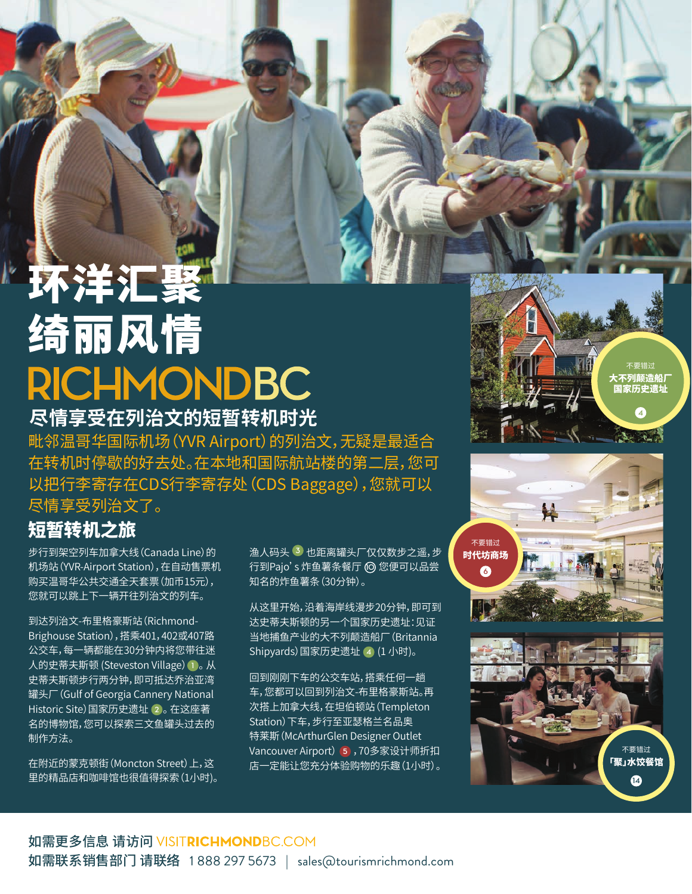## 不洋汇聚 绮丽风情 **RICHMONDBC**

**尽情享受在列治文的短暂转机时光**

毗邻温哥华国际机场(YVR Airport)的列治文,无疑是最适合 在转机时停歇的好去处。在本地和国际航站楼的第二层,您可 以把行李寄存在CDS行李寄存处(CDS Baggage),您就可以 尽情享受列治文了。

## 短暂转机之旅

步行到架空列车加拿大线(Canada Line)的 机场站(YVR-Airport Station),在自动售票机 购买温哥华公共交通全天套票(加币15元), 您就可以跳上下一辆开往列治文的列车。

到达列治文-布里格豪斯站(Richmond-Brighouse Station),搭乘401,402或407路 公交车,每一辆都能在30分钟内将您带往迷 人的史蒂夫斯顿 (Steveston Village)**1** 。 从 史蒂夫斯顿步行两分钟,即可抵达乔治亚湾 罐头厂(Gulf of Georgia Cannery National Historic Site)国家历史遗址 **2** 。 在这座著 名的博物馆,您可以探索三文鱼罐头过去的 制作方法。

在附近的蒙克顿街(Moncton Street)上,这 里的精品店和咖啡馆也很值得探索(1小时)。 渔人码头 **3** 也距离罐头厂仅仅数步之遥,步 行到Pajo's 炸鱼薯条餐厅 **10** 您便可以品尝 知名的炸鱼薯条(30分钟)。

从这里开始,沿着海岸线漫步20分钟,即可到 达史蒂夫斯顿的另一个国家历史遗址:见证 当地捕鱼产业的大不列颠造船厂(Britannia Shipyards)国家历史遗址 **4** (1 小时)。

回到刚刚下车的公交车站,搭乘任何一趟 车,您都可以回到列治文-布里格豪斯站。再 次搭上加拿大线,在坦伯顿站(Templeton Station)下车,步行至亚瑟格兰名品奥 特莱斯(McArthurGlen Designer Outlet Vancouver Airport)**5** ,70多家设计师折扣 店一定能让您充分体验购物的乐趣(1小时)。